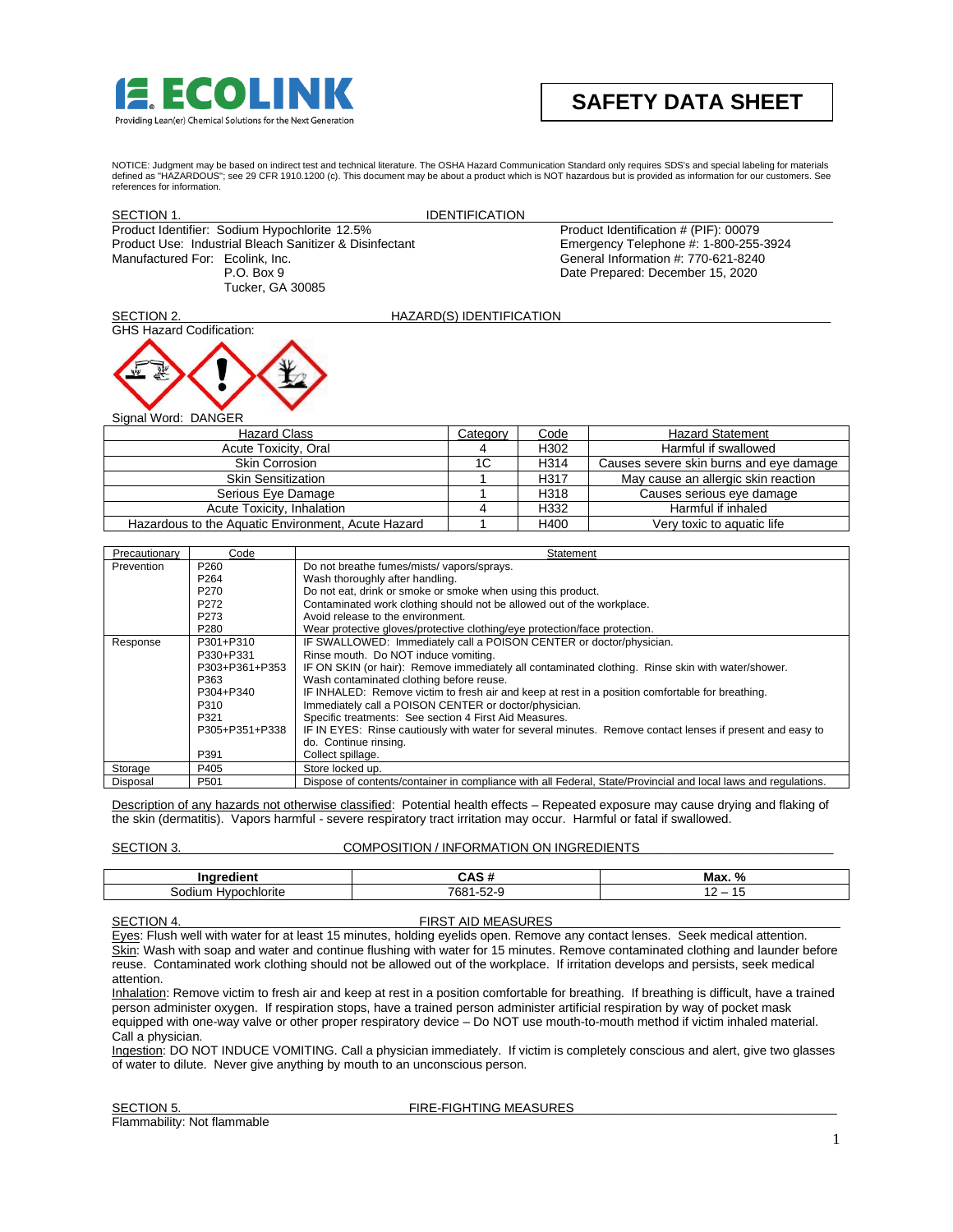

# **SAFETY DATA SHEET**

 NOTICE: Judgment may be based on indirect test and technical literature. The OSHA Hazard Communication Standard only requires SDS's and special labeling for materials defined as "HAZARDOUS"; see 29 CFR 1910.1200 (c). This document may be about a product which is NOT hazardous but is provided as information for our customers. See references for information.

| SECTION 1.                                                                                                                                                                    |                                                                                                 | <b>IDENTIFICATION</b>                                                                                                                                                                                                                                                                                                                                                                                                                                                                                                                                                                                                     |                          |      |                                                                                                                                                           |
|-------------------------------------------------------------------------------------------------------------------------------------------------------------------------------|-------------------------------------------------------------------------------------------------|---------------------------------------------------------------------------------------------------------------------------------------------------------------------------------------------------------------------------------------------------------------------------------------------------------------------------------------------------------------------------------------------------------------------------------------------------------------------------------------------------------------------------------------------------------------------------------------------------------------------------|--------------------------|------|-----------------------------------------------------------------------------------------------------------------------------------------------------------|
| Product Identifier: Sodium Hypochlorite 12.5%<br>Product Use: Industrial Bleach Sanitizer & Disinfectant<br>Manufactured For: Ecolink, Inc.<br>P.O. Box 9<br>Tucker, GA 30085 |                                                                                                 |                                                                                                                                                                                                                                                                                                                                                                                                                                                                                                                                                                                                                           |                          |      | Product Identification # (PIF): 00079<br>Emergency Telephone #: 1-800-255-3924<br>General Information #: 770-621-8240<br>Date Prepared: December 15, 2020 |
| SECTION 2.                                                                                                                                                                    |                                                                                                 |                                                                                                                                                                                                                                                                                                                                                                                                                                                                                                                                                                                                                           | HAZARD(S) IDENTIFICATION |      |                                                                                                                                                           |
| <b>GHS Hazard Codification:</b>                                                                                                                                               |                                                                                                 |                                                                                                                                                                                                                                                                                                                                                                                                                                                                                                                                                                                                                           |                          |      |                                                                                                                                                           |
| Signal Word: DANGER                                                                                                                                                           |                                                                                                 |                                                                                                                                                                                                                                                                                                                                                                                                                                                                                                                                                                                                                           |                          |      |                                                                                                                                                           |
|                                                                                                                                                                               | <b>Hazard Class</b>                                                                             |                                                                                                                                                                                                                                                                                                                                                                                                                                                                                                                                                                                                                           | Category                 | Code | <b>Hazard Statement</b>                                                                                                                                   |
|                                                                                                                                                                               | Acute Toxicity, Oral                                                                            |                                                                                                                                                                                                                                                                                                                                                                                                                                                                                                                                                                                                                           | 4                        | H302 | Harmful if swallowed                                                                                                                                      |
|                                                                                                                                                                               | <b>Skin Corrosion</b>                                                                           |                                                                                                                                                                                                                                                                                                                                                                                                                                                                                                                                                                                                                           | 1 <sup>C</sup>           | H314 | Causes severe skin burns and eye damage                                                                                                                   |
|                                                                                                                                                                               | <b>Skin Sensitization</b>                                                                       |                                                                                                                                                                                                                                                                                                                                                                                                                                                                                                                                                                                                                           | 1                        | H317 | May cause an allergic skin reaction                                                                                                                       |
|                                                                                                                                                                               | Serious Eye Damage                                                                              |                                                                                                                                                                                                                                                                                                                                                                                                                                                                                                                                                                                                                           | 1                        | H318 | Causes serious eye damage                                                                                                                                 |
|                                                                                                                                                                               | Acute Toxicity, Inhalation                                                                      |                                                                                                                                                                                                                                                                                                                                                                                                                                                                                                                                                                                                                           | 4                        | H332 | Harmful if inhaled                                                                                                                                        |
| Hazardous to the Aquatic Environment, Acute Hazard                                                                                                                            |                                                                                                 |                                                                                                                                                                                                                                                                                                                                                                                                                                                                                                                                                                                                                           | 1                        | H400 | Very toxic to aquatic life                                                                                                                                |
|                                                                                                                                                                               |                                                                                                 |                                                                                                                                                                                                                                                                                                                                                                                                                                                                                                                                                                                                                           |                          |      |                                                                                                                                                           |
| Precautionary                                                                                                                                                                 | Code<br>Statement                                                                               |                                                                                                                                                                                                                                                                                                                                                                                                                                                                                                                                                                                                                           |                          |      |                                                                                                                                                           |
| Prevention                                                                                                                                                                    | P260<br>P264<br>P270<br>P272<br>P273<br>P280                                                    | Do not breathe fumes/mists/ vapors/sprays.<br>Wash thoroughly after handling.<br>Do not eat, drink or smoke or smoke when using this product.<br>Contaminated work clothing should not be allowed out of the workplace.<br>Avoid release to the environment.<br>Wear protective gloves/protective clothing/eye protection/face protection.                                                                                                                                                                                                                                                                                |                          |      |                                                                                                                                                           |
| Response                                                                                                                                                                      | P301+P310<br>P330+P331<br>P303+P361+P353<br>P363<br>P304+P340<br>P310<br>P321<br>P305+P351+P338 | IF SWALLOWED: Immediately call a POISON CENTER or doctor/physician.<br>Rinse mouth. Do NOT induce vomiting.<br>IF ON SKIN (or hair): Remove immediately all contaminated clothing. Rinse skin with water/shower.<br>Wash contaminated clothing before reuse.<br>IF INHALED: Remove victim to fresh air and keep at rest in a position comfortable for breathing.<br>Immediately call a POISON CENTER or doctor/physician.<br>Specific treatments: See section 4 First Aid Measures.<br>IF IN EYES: Rinse cautiously with water for several minutes. Remove contact lenses if present and easy to<br>do. Continue rinsing. |                          |      |                                                                                                                                                           |
|                                                                                                                                                                               | P391                                                                                            | Collect spillage.                                                                                                                                                                                                                                                                                                                                                                                                                                                                                                                                                                                                         |                          |      |                                                                                                                                                           |
| Storage                                                                                                                                                                       | P405                                                                                            | Store locked up.                                                                                                                                                                                                                                                                                                                                                                                                                                                                                                                                                                                                          |                          |      |                                                                                                                                                           |
| Disposal                                                                                                                                                                      | P <sub>501</sub>                                                                                |                                                                                                                                                                                                                                                                                                                                                                                                                                                                                                                                                                                                                           |                          |      | Dispose of contents/container in compliance with all Federal, State/Provincial and local laws and regulations.                                            |
|                                                                                                                                                                               |                                                                                                 | the skin (dermatitis). Vapors harmful - severe respiratory tract irritation may occur. Harmful or fatal if swallowed.                                                                                                                                                                                                                                                                                                                                                                                                                                                                                                     |                          |      | Description of any hazards not otherwise classified: Potential health effects – Repeated exposure may cause drying and flaking of                         |

SECTION 3. COMPOSITION / INFORMATION ON INGREDIENTS

| .<br><br>-                 | <br>-AS             | $\mathbf{r}$<br>Max |
|----------------------------|---------------------|---------------------|
| odi<br>ur<br>niorite<br>-- | 700<br>. . Ju<br>ЮC | $\epsilon$          |

# SECTION 4. FIRST AID MEASURES

Eyes: Flush well with water for at least 15 minutes, holding eyelids open. Remove any contact lenses. Seek medical attention. Skin: Wash with soap and water and continue flushing with water for 15 minutes. Remove contaminated clothing and launder before reuse. Contaminated work clothing should not be allowed out of the workplace. If irritation develops and persists, seek medical attention.

Inhalation: Remove victim to fresh air and keep at rest in a position comfortable for breathing. If breathing is difficult, have a trained person administer oxygen. If respiration stops, have a trained person administer artificial respiration by way of pocket mask equipped with one-way valve or other proper respiratory device – Do NOT use mouth-to-mouth method if victim inhaled material. Call a physician.

Ingestion: DO NOT INDUCE VOMITING. Call a physician immediately. If victim is completely conscious and alert, give two glasses of water to dilute. Never give anything by mouth to an unconscious person.

Flammability: Not flammable

SECTION 5. SECTION 5.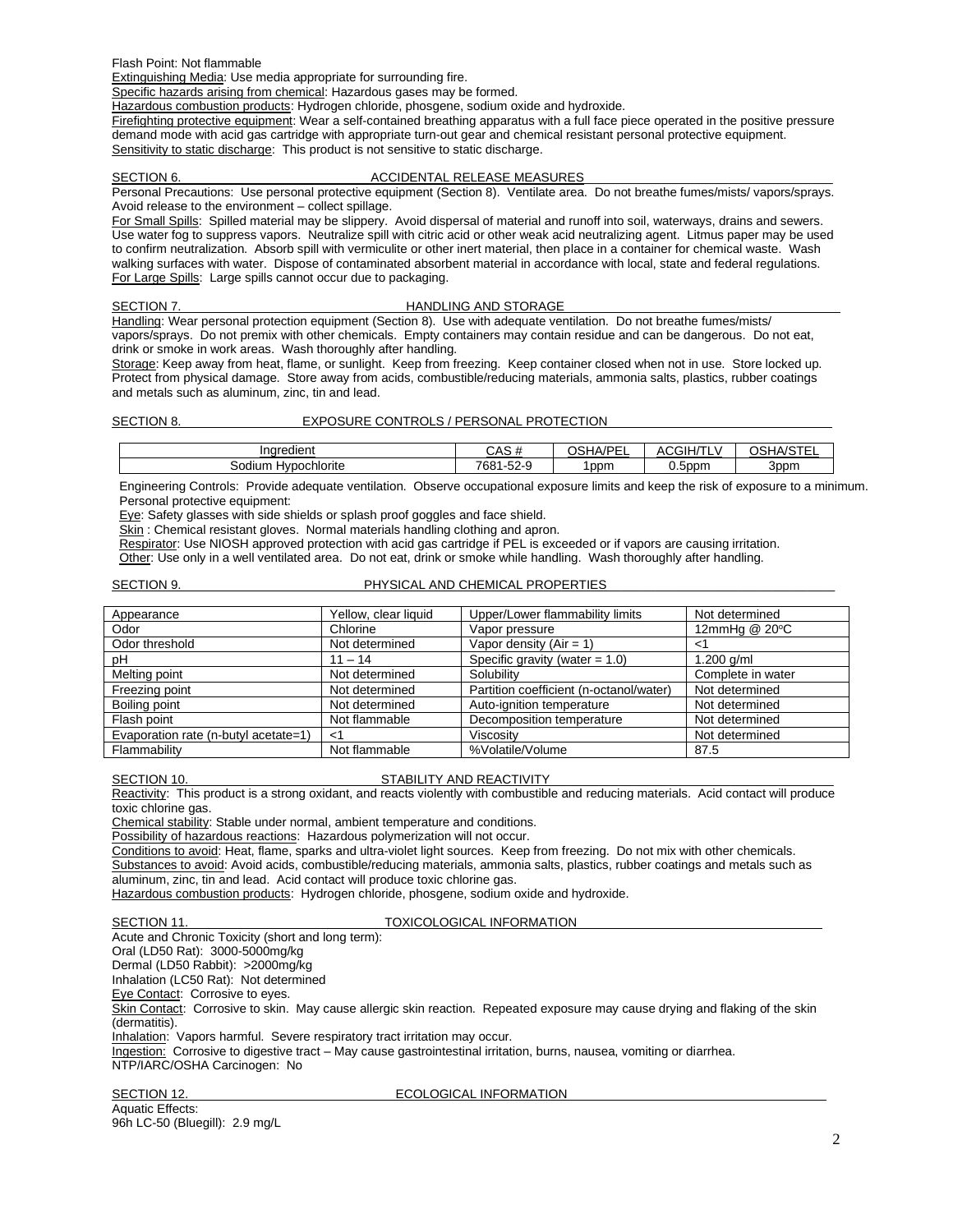Flash Point: Not flammable

Extinguishing Media: Use media appropriate for surrounding fire.

Specific hazards arising from chemical: Hazardous gases may be formed.

Hazardous combustion products: Hydrogen chloride, phosgene, sodium oxide and hydroxide.

Firefighting protective equipment: Wear a self-contained breathing apparatus with a full face piece operated in the positive pressure demand mode with acid gas cartridge with appropriate turn-out gear and chemical resistant personal protective equipment. Sensitivity to static discharge: This product is not sensitive to static discharge.

### SECTION 6. ACCIDENTAL RELEASE MEASURES

Personal Precautions: Use personal protective equipment (Section 8). Ventilate area. Do not breathe fumes/mists/ vapors/sprays. Avoid release to the environment – collect spillage.

For Small Spills: Spilled material may be slippery. Avoid dispersal of material and runoff into soil, waterways, drains and sewers. Use water fog to suppress vapors. Neutralize spill with citric acid or other weak acid neutralizing agent. Litmus paper may be used to confirm neutralization. Absorb spill with vermiculite or other inert material, then place in a container for chemical waste. Wash walking surfaces with water. Dispose of contaminated absorbent material in accordance with local, state and federal regulations. For Large Spills: Large spills cannot occur due to packaging.

### SECTION 7. HANDLING AND STORAGE

Handling: Wear personal protection equipment (Section 8). Use with adequate ventilation. Do not breathe fumes/mists/ vapors/sprays. Do not premix with other chemicals. Empty containers may contain residue and can be dangerous. Do not eat, drink or smoke in work areas. Wash thoroughly after handling.

Storage: Keep away from heat, flame, or sunlight. Keep from freezing. Keep container closed when not in use. Store locked up. Protect from physical damage. Store away from acids, combustible/reducing materials, ammonia salts, plastics, rubber coatings and metals such as aluminum, zinc, tin and lead.

# SECTION 8. EXPOSURE CONTROLS / PERSONAL PROTECTION

| <br>Ingredient             | $\sim$ 0.0<br>$\cdots$<br>ບ⊓ບ | IDE<br>OSH/<br>$\sqrt{ }$<br>-- | <b>CGIH/T</b><br>41 I<br>-- | 10T<br>วร<br>┚⋀<br>па<br>. |
|----------------------------|-------------------------------|---------------------------------|-----------------------------|----------------------------|
| າochlorite<br>odium<br>וער | $-00$<br>700.<br>'oo<br>~-∠ت  | Ippm                            | 0.5ppm                      | 3ppm                       |

Engineering Controls: Provide adequate ventilation. Observe occupational exposure limits and keep the risk of exposure to a minimum. Personal protective equipment:

Eye: Safety glasses with side shields or splash proof goggles and face shield.

Skin: Chemical resistant gloves. Normal materials handling clothing and apron.

Respirator: Use NIOSH approved protection with acid gas cartridge if PEL is exceeded or if vapors are causing irritation.

Other: Use only in a well ventilated area. Do not eat, drink or smoke while handling. Wash thoroughly after handling.

# SECTION 9. PHYSICAL AND CHEMICAL PROPERTIES\_

| Appearance                           | Yellow, clear liquid | Upper/Lower flammability limits         | Not determined    |
|--------------------------------------|----------------------|-----------------------------------------|-------------------|
| Odor                                 | Chlorine             | Vapor pressure                          | 12mmHg @ 20°C     |
| Odor threshold                       | Not determined       | Vapor density $(Air = 1)$               | <1                |
| рH                                   | $11 - 14$            | Specific gravity (water $= 1.0$ )       | 1.200 $q/ml$      |
| Melting point                        | Not determined       | Solubility                              | Complete in water |
| Freezing point                       | Not determined       | Partition coefficient (n-octanol/water) | Not determined    |
| Boiling point                        | Not determined       | Auto-ignition temperature               | Not determined    |
| Flash point                          | Not flammable        | Decomposition temperature               | Not determined    |
| Evaporation rate (n-butyl acetate=1) | <1                   | Viscosity                               | Not determined    |
| Flammability                         | Not flammable        | %Volatile/Volume                        | 87.5              |

# SECTION 10. STABILITY AND REACTIVITY

Reactivity: This product is a strong oxidant, and reacts violently with combustible and reducing materials. Acid contact will produce toxic chlorine gas.

Chemical stability: Stable under normal, ambient temperature and conditions.

Possibility of hazardous reactions: Hazardous polymerization will not occur.

Conditions to avoid: Heat, flame, sparks and ultra-violet light sources. Keep from freezing. Do not mix with other chemicals. Substances to avoid: Avoid acids, combustible/reducing materials, ammonia salts, plastics, rubber coatings and metals such as aluminum, zinc, tin and lead. Acid contact will produce toxic chlorine gas.

Hazardous combustion products: Hydrogen chloride, phosgene, sodium oxide and hydroxide.

# SECTION 11. TOXICOLOGICAL INFORMATION

Acute and Chronic Toxicity (short and long term): Oral (LD50 Rat): 3000-5000mg/kg Dermal (LD50 Rabbit): >2000mg/kg Inhalation (LC50 Rat): Not determined Eye Contact: Corrosive to eyes. Skin Contact: Corrosive to skin. May cause allergic skin reaction. Repeated exposure may cause drying and flaking of the skin (dermatitis). Inhalation: Vapors harmful. Severe respiratory tract irritation may occur. Ingestion: Corrosive to digestive tract – May cause gastrointestinal irritation, burns, nausea, vomiting or diarrhea. NTP/IARC/OSHA Carcinogen: No

Aquatic Effects:

### SECTION 12. **ECOLOGICAL INFORMATION**

96h LC-50 (Bluegill): 2.9 mg/L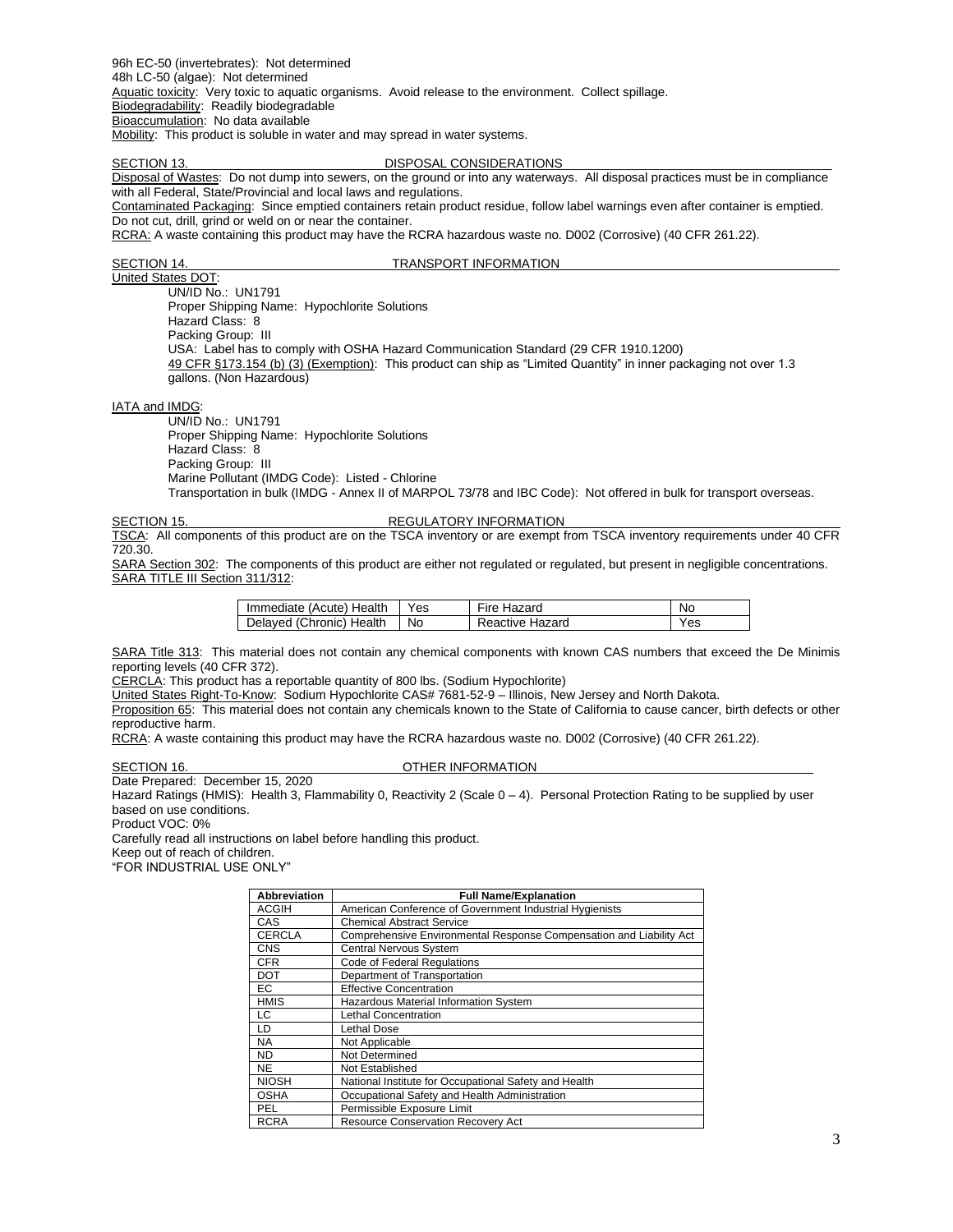96h EC-50 (invertebrates): Not determined 48h LC-50 (algae): Not determined Aquatic toxicity: Very toxic to aquatic organisms. Avoid release to the environment. Collect spillage. Biodegradability: Readily biodegradable Bioaccumulation: No data available

Mobility: This product is soluble in water and may spread in water systems.

### SECTION 13. DISPOSAL CONSIDERATIONS

Disposal of Wastes: Do not dump into sewers, on the ground or into any waterways. All disposal practices must be in compliance with all Federal, State/Provincial and local laws and regulations.

Contaminated Packaging: Since emptied containers retain product residue, follow label warnings even after container is emptied. Do not cut, drill, grind or weld on or near the container.

RCRA: A waste containing this product may have the RCRA hazardous waste no. D002 (Corrosive) (40 CFR 261.22).

### SECTION 14. TRANSPORT INFORMATION

United States DOT: UN/ID No.: UN1791 Proper Shipping Name: Hypochlorite Solutions Hazard Class: 8 Packing Group: III USA: Label has to comply with OSHA Hazard Communication Standard (29 CFR 1910.1200) 49 CFR §173.154 (b) (3) (Exemption): This product can ship as "Limited Quantity" in inner packaging not over 1.3 gallons. (Non Hazardous)

IATA and IMDG:

UN/ID No.: UN1791 Proper Shipping Name: Hypochlorite Solutions Hazard Class: 8 Packing Group: III Marine Pollutant (IMDG Code): Listed - Chlorine Transportation in bulk (IMDG - Annex II of MARPOL 73/78 and IBC Code): Not offered in bulk for transport overseas.

### SECTION 15. REGULATORY INFORMATION

TSCA: All components of this product are on the TSCA inventory or are exempt from TSCA inventory requirements under 40 CFR 720.30.

SARA Section 302: The components of this product are either not regulated or regulated, but present in negligible concentrations. SARA TITLE III Section 311/312:

| Immediate (Acute) Health | Yes | Fire Hazard     | No  |
|--------------------------|-----|-----------------|-----|
| Delayed (Chronic) Health | No  | Reactive Hazard | Yes |

SARA Title 313: This material does not contain any chemical components with known CAS numbers that exceed the De Minimis reporting levels (40 CFR 372).

CERCLA: This product has a reportable quantity of 800 lbs. (Sodium Hypochlorite)

United States Right-To-Know: Sodium Hypochlorite CAS# 7681-52-9 – Illinois, New Jersey and North Dakota.

Proposition 65: This material does not contain any chemicals known to the State of California to cause cancer, birth defects or other reproductive harm.

RCRA: A waste containing this product may have the RCRA hazardous waste no. D002 (Corrosive) (40 CFR 261.22).

### SECTION 16. CHECTION 16.

Date Prepared: December 15, 2020

Hazard Ratings (HMIS): Health 3, Flammability 0, Reactivity 2 (Scale 0 – 4). Personal Protection Rating to be supplied by user based on use conditions.

Product VOC: 0%

Carefully read all instructions on label before handling this product.

Keep out of reach of children.

"FOR INDUSTRIAL USE ONLY"

| <b>Abbreviation</b> | <b>Full Name/Explanation</b>                                        |
|---------------------|---------------------------------------------------------------------|
| <b>ACGIH</b>        | American Conference of Government Industrial Hygienists             |
| CAS                 | <b>Chemical Abstract Service</b>                                    |
| <b>CERCLA</b>       | Comprehensive Environmental Response Compensation and Liability Act |
| <b>CNS</b>          | Central Nervous System                                              |
| <b>CFR</b>          | Code of Federal Regulations                                         |
| <b>DOT</b>          | Department of Transportation                                        |
| EC                  | <b>Effective Concentration</b>                                      |
| <b>HMIS</b>         | Hazardous Material Information System                               |
| LC                  | <b>Lethal Concentration</b>                                         |
| LD                  | <b>Lethal Dose</b>                                                  |
| <b>NA</b>           | Not Applicable                                                      |
| <b>ND</b>           | Not Determined                                                      |
| <b>NE</b>           | Not Established                                                     |
| <b>NIOSH</b>        | National Institute for Occupational Safety and Health               |
| <b>OSHA</b>         | Occupational Safety and Health Administration                       |
| PEL                 | Permissible Exposure Limit                                          |
| <b>RCRA</b>         | <b>Resource Conservation Recovery Act</b>                           |